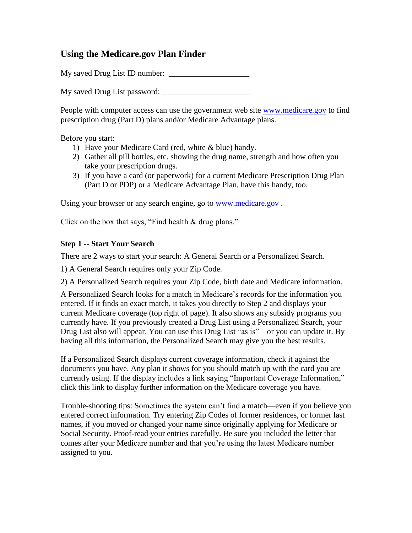# **Using the Medicare.gov Plan Finder**

My saved Drug List ID number: \_\_\_\_\_\_\_\_\_\_\_\_\_\_\_\_\_\_\_\_

My saved Drug List password: \_\_\_\_\_\_\_\_\_\_\_\_\_\_\_\_\_\_\_\_\_\_

People with computer access can use the government web site [www.medicare.gov](http://www.medicare.gov/) to find prescription drug (Part D) plans and/or Medicare Advantage plans.

Before you start:

- 1) Have your Medicare Card (red, white & blue) handy.
- 2) Gather all pill bottles, etc. showing the drug name, strength and how often you take your prescription drugs.
- 3) If you have a card (or paperwork) for a current Medicare Prescription Drug Plan (Part D or PDP) or a Medicare Advantage Plan, have this handy, too.

Using your browser or any search engine, go to [www.medicare.gov](http://www.medicare.gov/).

Click on the box that says, "Find health & drug plans."

### **Step 1 -- Start Your Search**

There are 2 ways to start your search: A General Search or a Personalized Search.

1) A General Search requires only your Zip Code.

2) A Personalized Search requires your Zip Code, birth date and Medicare information.

A Personalized Search looks for a match in Medicare's records for the information you entered. If it finds an exact match, it takes you directly to Step 2 and displays your current Medicare coverage (top right of page). It also shows any subsidy programs you currently have. If you previously created a Drug List using a Personalized Search, your Drug List also will appear. You can use this Drug List "as is"—or you can update it. By having all this information, the Personalized Search may give you the best results.

If a Personalized Search displays current coverage information, check it against the documents you have. Any plan it shows for you should match up with the card you are currently using. If the display includes a link saying "Important Coverage Information," click this link to display further information on the Medicare coverage you have.

Trouble-shooting tips: Sometimes the system can't find a match—even if you believe you entered correct information. Try entering Zip Codes of former residences, or former last names, if you moved or changed your name since originally applying for Medicare or Social Security. Proof-read your entries carefully. Be sure you included the letter that comes after your Medicare number and that you're using the latest Medicare number assigned to you.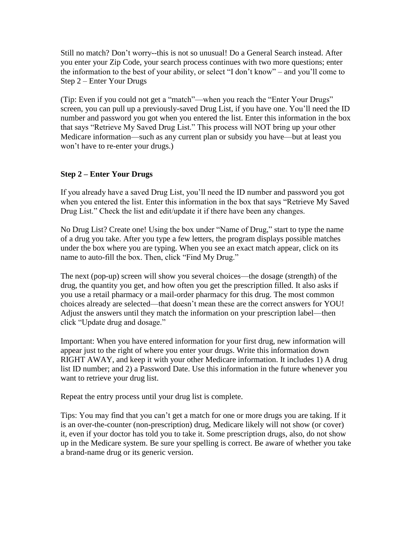Still no match? Don't worry--this is not so unusual! Do a General Search instead. After you enter your Zip Code, your search process continues with two more questions; enter the information to the best of your ability, or select "I don't know" – and you'll come to Step 2 – Enter Your Drugs

(Tip: Even if you could not get a "match"—when you reach the "Enter Your Drugs" screen, you can pull up a previously-saved Drug List, if you have one. You'll need the ID number and password you got when you entered the list. Enter this information in the box that says "Retrieve My Saved Drug List." This process will NOT bring up your other Medicare information—such as any current plan or subsidy you have—but at least you won't have to re-enter your drugs.)

## **Step 2 – Enter Your Drugs**

If you already have a saved Drug List, you'll need the ID number and password you got when you entered the list. Enter this information in the box that says "Retrieve My Saved Drug List." Check the list and edit/update it if there have been any changes.

No Drug List? Create one! Using the box under "Name of Drug," start to type the name of a drug you take. After you type a few letters, the program displays possible matches under the box where you are typing. When you see an exact match appear, click on its name to auto-fill the box. Then, click "Find My Drug."

The next (pop-up) screen will show you several choices—the dosage (strength) of the drug, the quantity you get, and how often you get the prescription filled. It also asks if you use a retail pharmacy or a mail-order pharmacy for this drug. The most common choices already are selected—that doesn't mean these are the correct answers for YOU! Adjust the answers until they match the information on your prescription label—then click "Update drug and dosage."

Important: When you have entered information for your first drug, new information will appear just to the right of where you enter your drugs. Write this information down RIGHT AWAY, and keep it with your other Medicare information. It includes 1) A drug list ID number; and 2) a Password Date. Use this information in the future whenever you want to retrieve your drug list.

Repeat the entry process until your drug list is complete.

Tips: You may find that you can't get a match for one or more drugs you are taking. If it is an over-the-counter (non-prescription) drug, Medicare likely will not show (or cover) it, even if your doctor has told you to take it. Some prescription drugs, also, do not show up in the Medicare system. Be sure your spelling is correct. Be aware of whether you take a brand-name drug or its generic version.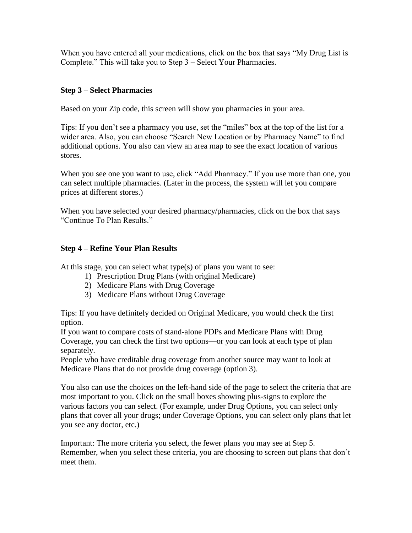When you have entered all your medications, click on the box that says "My Drug List is Complete." This will take you to Step 3 – Select Your Pharmacies.

# **Step 3 – Select Pharmacies**

Based on your Zip code, this screen will show you pharmacies in your area.

Tips: If you don't see a pharmacy you use, set the "miles" box at the top of the list for a wider area. Also, you can choose "Search New Location or by Pharmacy Name" to find additional options. You also can view an area map to see the exact location of various stores.

When you see one you want to use, click "Add Pharmacy." If you use more than one, you can select multiple pharmacies. (Later in the process, the system will let you compare prices at different stores.)

When you have selected your desired pharmacy/pharmacies, click on the box that says "Continue To Plan Results."

### **Step 4 – Refine Your Plan Results**

At this stage, you can select what type(s) of plans you want to see:

- 1) Prescription Drug Plans (with original Medicare)
- 2) Medicare Plans with Drug Coverage
- 3) Medicare Plans without Drug Coverage

Tips: If you have definitely decided on Original Medicare, you would check the first option.

If you want to compare costs of stand-alone PDPs and Medicare Plans with Drug Coverage, you can check the first two options—or you can look at each type of plan separately.

People who have creditable drug coverage from another source may want to look at Medicare Plans that do not provide drug coverage (option 3).

You also can use the choices on the left-hand side of the page to select the criteria that are most important to you. Click on the small boxes showing plus-signs to explore the various factors you can select. (For example, under Drug Options, you can select only plans that cover all your drugs; under Coverage Options, you can select only plans that let you see any doctor, etc.)

Important: The more criteria you select, the fewer plans you may see at Step 5. Remember, when you select these criteria, you are choosing to screen out plans that don't meet them.